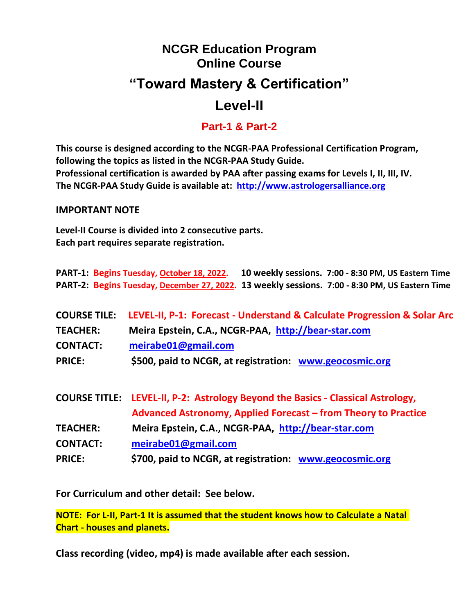# **NCGR Education Program Online Course "Toward Mastery & Certification" Level-II**

# **Part-1 & Part-2**

**This course is designed according to the NCGR-PAA Professional Certification Program, following the topics as listed in the NCGR-PAA Study Guide. Professional certification is awarded by PAA after passing exams for Levels I, II, III, IV. The NCGR-PAA Study Guide is available at: [http://www.astrologersalliance.org](http://www.astrologersalliance.org/)**

#### **IMPORTANT NOTE**

**Level-II Course is divided into 2 consecutive parts. Each part requires separate registration.**

**PART-1: Begins Tuesday, October 18, 2022. 10 weekly sessions. 7:00 - 8:30 PM, US Eastern Time PART-2: Begins Tuesday, December 27, 2022. 13 weekly sessions. 7:00 - 8:30 PM, US Eastern Time**

|                 | COURSE TILE: LEVEL-II, P-1: Forecast - Understand & Calculate Progression & Solar Arc |
|-----------------|---------------------------------------------------------------------------------------|
| <b>TEACHER:</b> | Meira Epstein, C.A., NCGR-PAA, http://bear-star.com                                   |
| <b>CONTACT:</b> | meirabe01@gmail.com                                                                   |
| <b>PRICE:</b>   | \$500, paid to NCGR, at registration: www.geocosmic.org                               |

|                 | COURSE TITLE: LEVEL-II, P-2: Astrology Beyond the Basics - Classical Astrology, |  |  |  |
|-----------------|---------------------------------------------------------------------------------|--|--|--|
|                 | Advanced Astronomy, Applied Forecast – from Theory to Practice                  |  |  |  |
| <b>TEACHER:</b> | Meira Epstein, C.A., NCGR-PAA, http://bear-star.com                             |  |  |  |
| <b>CONTACT:</b> | meirabe01@gmail.com                                                             |  |  |  |
| <b>PRICE:</b>   | \$700, paid to NCGR, at registration: www.geocosmic.org                         |  |  |  |

**For Curriculum and other detail: See below.**

**NOTE: For L-II, Part-1 It is assumed that the student knows how to Calculate a Natal Chart - houses and planets.**

**Class recording (video, mp4) is made available after each session.**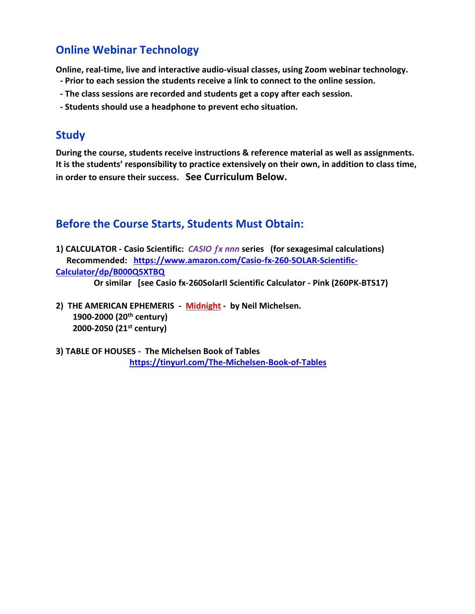# **Online Webinar Technology**

**Online, real-time, live and interactive audio-visual classes, using Zoom webinar technology.** 

- **- Prior to each session the students receive a link to connect to the online session.**
- **- The class sessions are recorded and students get a copy after each session.**
- **- Students should use a headphone to prevent echo situation.**

### **Study**

**During the course, students receive instructions & reference material as well as assignments. It is the students' responsibility to practice extensively on their own, in addition to class time, in order to ensure their success. See Curriculum Below.**

## **Before the Course Starts, Students Must Obtain:**

**1) CALCULATOR - Casio Scientific:** *CASIO x nnn* **series (for sexagesimal calculations) Recommended: [https://www.amazon.com/Casio-fx-260-SOLAR-Scientific-](https://www.amazon.com/Casio-fx-260-SOLAR-Scientific-Calculator/dp/B000Q5XTBQ)[Calculator/dp/B000Q5XTBQ](https://www.amazon.com/Casio-fx-260-SOLAR-Scientific-Calculator/dp/B000Q5XTBQ)**

 **Or similar [see Casio fx-260SolarII Scientific Calculator - Pink (260PK-BTS17)** 

- **2) THE AMERICAN EPHEMERIS Midnight by Neil Michelsen. 1900-2000 (20th century) 2000-2050 (21st century)**
- **3) TABLE OF HOUSES The Michelsen Book of Tables <https://tinyurl.com/The-Michelsen-Book-of-Tables>**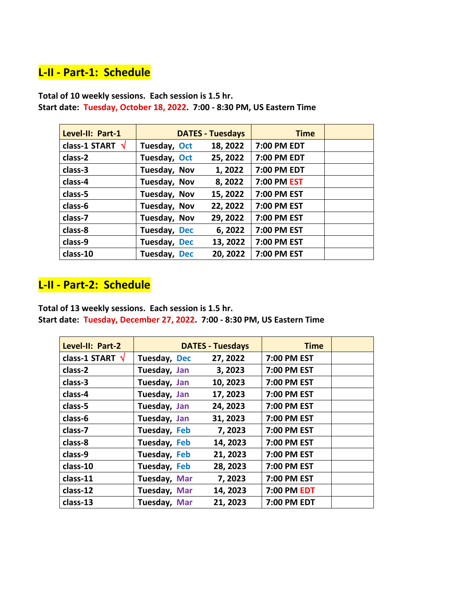# **L-II - Part-1: Schedule**

| Level-II: Part-1        |              | <b>DATES - Tuesdays</b> | <b>Time</b> |  |
|-------------------------|--------------|-------------------------|-------------|--|
| class-1 START $\sqrt{}$ | Tuesday, Oct | 18, 2022                | 7:00 PM EDT |  |
| class-2                 | Tuesday, Oct | 25, 2022                | 7:00 PM EDT |  |
| class-3                 | Tuesday, Nov | 1, 2022                 | 7:00 PM EDT |  |
| class-4                 | Tuesday, Nov | 8,2022                  | 7:00 PM EST |  |
| class-5                 | Tuesday, Nov | 15, 2022                | 7:00 PM EST |  |
| class-6                 | Tuesday, Nov | 22, 2022                | 7:00 PM EST |  |
| class-7                 | Tuesday, Nov | 29, 2022                | 7:00 PM EST |  |
| class-8                 | Tuesday, Dec | 6, 2022                 | 7:00 PM EST |  |
| class-9                 | Tuesday, Dec | 13, 2022                | 7:00 PM EST |  |
| class-10                | Tuesday, Dec | 20, 2022                | 7:00 PM EST |  |

**Total of 10 weekly sessions. Each session is 1.5 hr. Start date: Tuesday, October 18, 2022. 7:00 - 8:30 PM, US Eastern Time**

# **L-II - Part-2: Schedule**

**Total of 13 weekly sessions. Each session is 1.5 hr. Start date: Tuesday, December 27, 2022. 7:00 - 8:30 PM, US Eastern Time**

| Level-II: Part-2        |              | <b>DATES - Tuesdays</b> | <b>Time</b> |  |
|-------------------------|--------------|-------------------------|-------------|--|
| class-1 START $\sqrt{}$ | Tuesday, Dec | 27, 2022                | 7:00 PM EST |  |
| class-2                 | Tuesday, Jan | 3, 2023                 | 7:00 PM EST |  |
| class-3                 | Tuesday, Jan | 10, 2023                | 7:00 PM EST |  |
| class-4                 | Tuesday, Jan | 17, 2023                | 7:00 PM EST |  |
| class-5                 | Tuesday, Jan | 24, 2023                | 7:00 PM EST |  |
| class-6                 | Tuesday, Jan | 31, 2023                | 7:00 PM EST |  |
| class-7                 | Tuesday, Feb | 7,2023                  | 7:00 PM EST |  |
| class-8                 | Tuesday, Feb | 14, 2023                | 7:00 PM EST |  |
| class-9                 | Tuesday, Feb | 21, 2023                | 7:00 PM EST |  |
| class-10                | Tuesday, Feb | 28, 2023                | 7:00 PM EST |  |
| class-11                | Tuesday, Mar | 7,2023                  | 7:00 PM EST |  |
| class-12                | Tuesday, Mar | 14, 2023                | 7:00 PM EDT |  |
| class-13                | Tuesday, Mar | 21, 2023                | 7:00 PM EDT |  |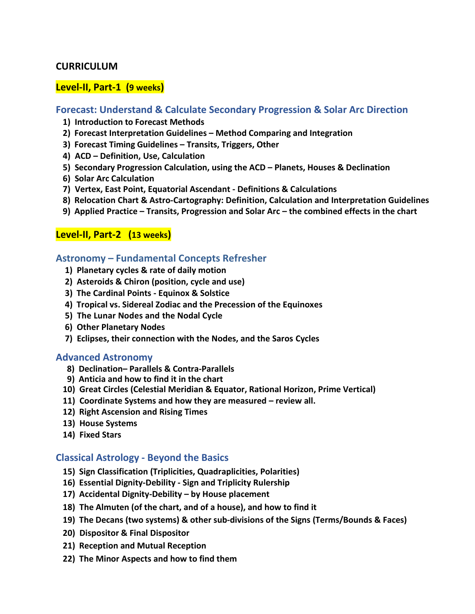#### **CURRICULUM**

#### **Level-II, Part-1 (9 weeks)**

#### **Forecast: Understand & Calculate Secondary Progression & Solar Arc Direction**

- **1) Introduction to Forecast Methods**
- **2) Forecast Interpretation Guidelines – Method Comparing and Integration**
- **3) Forecast Timing Guidelines – Transits, Triggers, Other**
- **4) ACD – Definition, Use, Calculation**
- **5) Secondary Progression Calculation, using the ACD – Planets, Houses & Declination**
- **6) Solar Arc Calculation**
- **7) Vertex, East Point, Equatorial Ascendant - Definitions & Calculations**
- **8) Relocation Chart & Astro-Cartography: Definition, Calculation and Interpretation Guidelines**
- **9) Applied Practice – Transits, Progression and Solar Arc – the combined effects in the chart**

#### **Level-II, Part-2 (13 weeks)**

#### **Astronomy – Fundamental Concepts Refresher**

- **1) Planetary cycles & rate of daily motion**
- **2) Asteroids & Chiron (position, cycle and use)**
- **3) The Cardinal Points - Equinox & Solstice**
- **4) Tropical vs. Sidereal Zodiac and the Precession of the Equinoxes**
- **5) The Lunar Nodes and the Nodal Cycle**
- **6) Other Planetary Nodes**
- **7) Eclipses, their connection with the Nodes, and the Saros Cycles**

#### **Advanced Astronomy**

- **8) Declination– Parallels & Contra-Parallels**
- **9) Anticia and how to find it in the chart**
- **10) Great Circles (Celestial Meridian & Equator, Rational Horizon, Prime Vertical)**
- **11) Coordinate Systems and how they are measured – review all.**
- **12) Right Ascension and Rising Times**
- **13) House Systems**
- **14) Fixed Stars**

#### **Classical Astrology - Beyond the Basics**

- **15) Sign Classification (Triplicities, Quadraplicities, Polarities)**
- **16) Essential Dignity-Debility - Sign and Triplicity Rulership**
- **17) Accidental Dignity-Debility – by House placement**
- **18) The Almuten (of the chart, and of a house), and how to find it**
- **19) The Decans (two systems) & other sub-divisions of the Signs (Terms/Bounds & Faces)**
- **20) Dispositor & Final Dispositor**
- **21) Reception and Mutual Reception**
- **22) The Minor Aspects and how to find them**